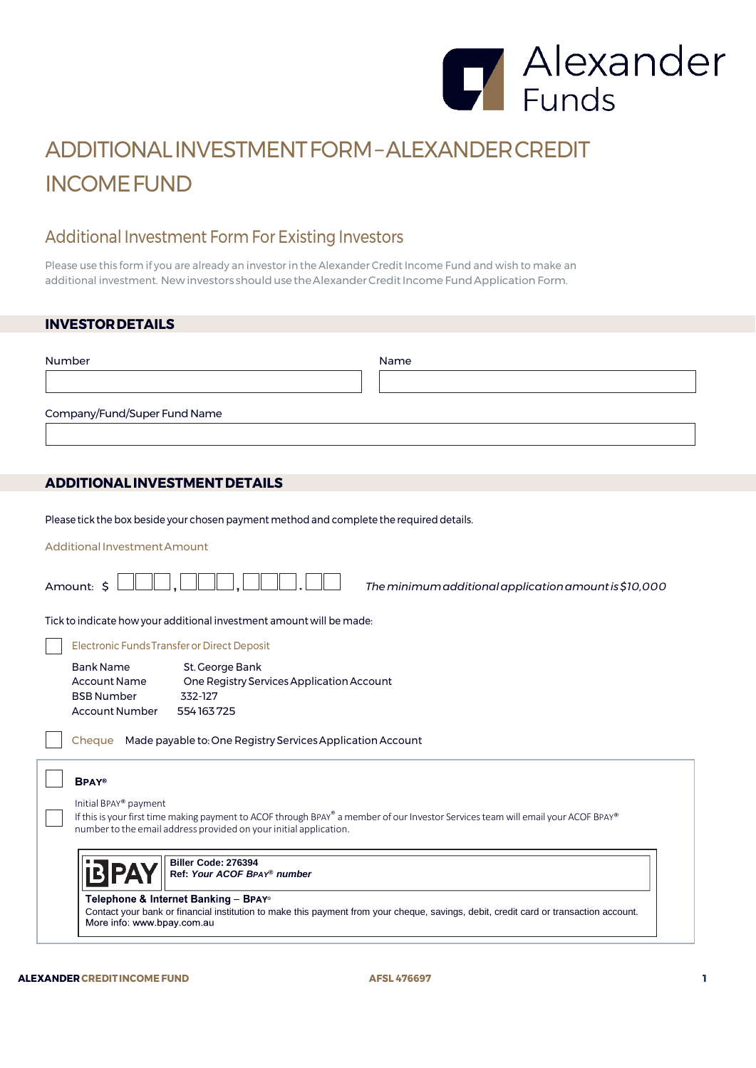

# ADDITIONALINVESTMENTFORM–ALEXANDERCREDIT INCOMEFUND

## Additional Investment Form For Existing Investors

Please use this form if you are already an investor in the Alexander Credit Income Fund and wish to make an additional investment. New investors should use the Alexander Credit Income Fund Application Form.

### **INVESTORDETAILS**

| Number                       | Name |
|------------------------------|------|
|                              |      |
| Company/Fund/Super Fund Name |      |
|                              |      |

## **ADDITIONALINVESTMENTDETAILS**

Please tick the box beside your chosen payment method and complete the required details.

Additional Investment Amount

| Amount: \$<br>The minimum additional application amount is \$10,000                                                                                                                                                             |  |  |
|---------------------------------------------------------------------------------------------------------------------------------------------------------------------------------------------------------------------------------|--|--|
| Tick to indicate how your additional investment amount will be made:                                                                                                                                                            |  |  |
| Electronic Funds Transfer or Direct Deposit                                                                                                                                                                                     |  |  |
| Bank Name<br>St. George Bank<br><b>Account Name</b><br>One Registry Services Application Account<br><b>BSB Number</b><br>332-127<br>Account Number<br>554163725                                                                 |  |  |
| Made payable to: One Registry Services Application Account<br>Cheque                                                                                                                                                            |  |  |
| <b>BPAY®</b>                                                                                                                                                                                                                    |  |  |
| Initial BPAY® payment<br>If this is your first time making payment to ACOF through BPAY® a member of our Investor Services team will email your ACOF BPAY®<br>number to the email address provided on your initial application. |  |  |
| Biller Code: 276394<br>Ref: Your ACOF BPAY® number                                                                                                                                                                              |  |  |
| Telephone & Internet Banking – BPAY®<br>Contact your bank or financial institution to make this payment from your cheque, savings, debit, credit card or transaction account.<br>More info: www.bpay.com.au                     |  |  |